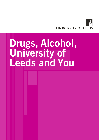

# Drugs, Alcohol, University of Leeds and You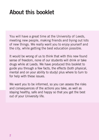## About this booklet

You will have a great time at the University of Leeds, meeting new people, making friends and trying out lots of new things. We really want you to enjoy yourself and the city, while getting the best education possible.

It would be wrong of us to think that with this new found sense of freedom, none of our students will drink or take drugs while at Leeds. We have produced this booklet to guide you through a few facts, the effects (both physical, mental and on your ability to study) plus where to turn to for help with these issues.

We want you to be informed, so you can assess the risks and consequences of the actions you take, as well as staying healthy, safe and happy so that you get the best out of your University life.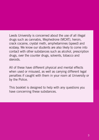Leeds University is concerned about the use of all illegal drugs such as cannabis, Mephedrone (MCAT), heroin, crack cocaine, crystal meth, amphetamines (speed) and ecstasy. We know our students are also likely to come into contact with other substances such as alcohol, prescription drugs, over the counter drugs, solvents, tobacco and steroids.

All of these have different physical and mental effects when used or misused, as well as carrying different legal penalties if caught with them in your room at University or by the Police.

This booklet is designed to help with any questions you have concerning these substances.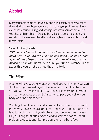### Alcohol

Many students come to University and drink safely or choose not to drink at all and we hope you are part of that group. However, there are issues about drinking and staying safe when you are out which you should think about. Despite being legal, alcohol is a drug and you should be aware of the effects drinking has upon your body and mental state.

### Safe Drinking Levels

"Official guidelines for both men and women recommend no more than 14 units a week on a regular basis. One unit is half a pint of beer, lager or cider, one small glass of wine, or a 25ml measure of spirit". Don't try to drink your unit allowance in one go, as this would not be a healthy thing to do.

### The Effects

Alcohol will exaggerate whatever mood you're in when you start drinking. If you're feeling a bit low when you start, the chances are you will feel worse after a few drinks. It takes your body about an hour to process one unit of alcohol, so pace yourself or your body won't be able to cope.

Vomiting, loss of balance and slurring of speech are just a few of the more visible effects of drinking, and binge drinking can even lead to alcohol poisoning, which can put you in a coma or even kill you. Long term drinking can lead to stomach cancer, heart problems, obesity and liver problems to name but a few.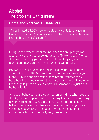### Alcohol The problems with drinking

### Crime and Anti Social Behaviour

"An estimated 23,000 alcohol-related incidents take place in Britain each week. Regular visitors to pubs and bars are twice as likely to be victims of assault."

Being on the streets under the influence of drink puts you at greater risk of physical or sexual assault. Try to stay with friends, don't walk home by yourself. Be careful walking anywhere at night, particularly around Hyde Park and Woodhouse.

Be aware of your belongings, don't flash your mobile phone around in public (81% of mobile phone theft victims are young men). Drinking and driving is putting not only yourself at risk, but others too. If you're caught there is a chance you will lose your licence, go to prison or even worse, kill someone! So just don't bother with it.

Antisocial behaviour is a problem when drinking. When you are drunk you may appear more threatening to others – influencing how they react to you. Avoid violence with other people by talking your way out of situations, use open body language and avoid using aggressive language. Don't be dragged into something which is potentially very dangerous.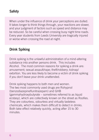### **Safety**

When under the influence of drink your perceptions are dulled. It takes longer to think things through, your reactions are slower, and your judgment of factors such as speed and distance may be reduced. So be careful when crossing busy night time roads. Every year students from Leeds University are tragically injured or worse when crossing the road at night.

### Drink Spiking

Drink spiking is the unlawful administration of a mind-altering substance into another persons drink. This includes Alcohol. The most common reasons for spiking a drink are: amusement; sexual assault/rape; theft/robbery; kidnap/ extortion. You are less likely to become a victim of drink spiking if you don't leave your drink unattended.

Drink spiking happens to both men and women. The two most commonly used drugs are Rohypnol (benzodiazepineflunitrazepam) and GHB (gammahydroxybutyrate – sometimes referred to as liquid ecstasy), which are collectively known on the street as Roofies. They are colourless, odourless and virtually tasteless chemicals, which makes them difficult to detect in drinks. Both take effect relatively quickly, acting after 15 to 30 minutes.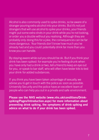Alcohol is also commonly used to spike drinks, so be aware of a stranger pouring extra alcohol into your drinks. But it's not just strangers that will use alcohol to spike your drinks, your friends might put some extra shots in your drink while you're not looking, or order you a double without you realising. Although they are probably only doing this for a joke, the consequences can be far more dangerous. Your friends don't know how much you've already had and you could potentially drink far more than you know you can handle.

By staying aware while out you should be ok. But if you think your drink has been spiked: for example you're feeling drunk when you have only had a drink or two, tell a friend to keep an eye out for you, or speak to bar staff, who will often have tester kits to test your drink for added substances.

If you think you have been taken advantage of sexually, we advise you to get in touch with the police as soon as possible. University Security and the police have an excellent team of people who can help you out in a private and safe environment.

Please see the NHS website (www.nhs.uk/conditions/Drinkspiking/Pages/Introduction.aspx) for more information about preventing drink spiking, the symptoms of drink spiking and advice on what to do if your drink has been spiked.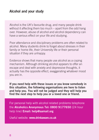### Alcohol and your study

Alcohol is the UK's favourite drug, and many people drink without it affecting them too much – apart from the odd hang over. However, abuse of alcohol and alcohol dependency can have a serious effect on your life and studying.

Poor attendance and disciplinary problems are often related to alcohol. Many students drink to forget about stresses in their family or home life, their University life or their personal situation if they are unhappy.

Evidence shows that many people use alcohol as a coping mechanism. Although drinking alcohol appears to offer an escape and deal with anxiety and depressive thoughts, it actually has the opposite effect, exaggerating whatever mood you are in.

If you need help with these issues or you know somebody in this situation, the following organisations are here to listen and help you. You will not be judged and they will help you find the next step to help you or a loved one or friend.

For personal help with alcohol related problems telephone the Alcoholics Anonymous Tel: 0800 9177650 (24 hour help line) **Email: help@aamail.org**

Useful website: www.drinkaware.co.uk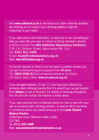Visit www.unitcheck.co.uk to see how much other university students are drinking and to check if your drinking patterns might be impacting on your health.

If you need advice and information, or need one to one counselling to help you deal with your own or a friend or family member's alcohol problem contact the ADS (Addiction Dependency Solutions) 135-141 Oldham Street, Manchester M4 1LN Tel: 0161 831 2400 Email: headoffice@adsolutions.org.uk Web: www.ADSolutions.org.uk

If a family member or friend is (or has been) a problem drinker, you can get understanding and support from **Al-anon**. Tel: 0800 0086 811(Confidential helpline 10.00am - 10.00pm daily.) Web: www.al-anonuk.org.uk

If you are aged between 12 and 17, and have been affected by someone else's drinking (usually that of a parent) you can get support from **Alateen** (a part of Al-anon). For details of meetings throughout the UK and Eire contact the helpline number above.

If you need practical and confidential advice on how to deal with your own or someone else's drinking problem, or need to talk to someone in confidence about any related issues go to the Leeds Student Medical Practice.

4 Blenheim Court, Blenheim Walk, Leeds, LS2 9AE Tel: 0113 295 4488 Web: www.leedsstudentmedicalpractice.co.uk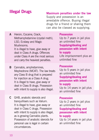### Illegal Drugs

#### Maximum penalties under the law

Supply and possession is an arrestable offence. Buying illegal drugs for a friend or sharing them can also be classed as supplying.

A Heroin, Cocaine, Crack, Methamphetamine (crystal meth), LSD, Ecstasy and Magic Mushrooms. It is illegal to have, give away or deal in Class A drugs. Offences under Class A are the most serious and carry the heaviest penalties.

- **B** Cannabis, amphetamines, Mephedrone (MCAT). The law treats any Class B drug that is prepared for injection as a Class A drug. It is illegal to have, give away or deal in Class B drugs. Possession with intent to supply is also illegal.
- C GHB, anabolic steroids and tranquillisers such as Valium. It is illegal to have, give away or deal in Class C drugs. Possession with intent to supply is also illegal, as is growing Cannabis plants. Possession of anabolic steroids for personal use is legal in certain circumstances.

#### **Possession**

Up to 7 years in jail plus an unlimited fine Supplying/dealing and possession with intent to supply Life imprisonment plus an unlimited fine

#### **Possession**

Up to 5 years in jail plus an unlimited fine Supplying/dealing and possession with intent to supply

Up to 14 years in jail plus an unlimited fine

#### **Possession**

Up to 2 years in jail plus an unlimited fine Supplying/dealing and possession with intent to supply

Up to 14 years in jail plus an unlimited fine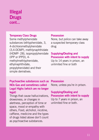## Illegal **Drugs** cont...

### Temporary Class Drugs

Some methylphenidate substances (ethlyphenidate, 3, 4-dichloromethylphenidate (3,4-DCMP), methlynaphthidate (HDMP- 28), isopropylphenidate (IPP or IPPD), 4 methylmethlyphenidate, ethylnaphthidate, propylphenidate) and their simple deriratives.

#### **Possession**

None, but police can take away a suspected temporary class drug

### Supplying/Dealing and Possession with intent to supply

Up to 14 years in prison, an unlimited fine or both

### Psychoactive substances such as NOx Gas and sometimes called Legal Highs (which are no longer legal)

Things that cause hallucinations, drowsiness, or changes in alertness, perception of time or space, mood or empathy with others, Food, alchohol, nicotine, caffiene, medicine and the types of drugs listed above don't count as psychoactive substances.

#### **Possession**

None, unless you're in prison.

### Supplying/Dealing and

Possession with intent to supply Up to 7 years in prison, an unlimited fine or both.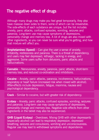### The negative effect of drugs The negative effect of drugs

Although many drugs may make you feel great temporarily, they also Although many drugs may make you feel great temporarily, they also have massive down sides to them, some of which can be irreversible. have massive down sides to them, some of which can be irreversible. The side-effects of each substance are unique, but the list includes The side-effects of each substance are unique, but the list includes anxiety, panic attacks, confused episodes, vomiting, seizures and anxiety, panic attacks, confused episodes, vomiting, seizures and paranoia. Long-term use may cause symptoms of depressions, paranoia. Long-term use may cause symptoms of depressions, personality change and memory loss. A lot of drugs are also mixed with personality change and memory loss. A lot of drugs are also mixed with other ingredients, so you can never be sure what you're getting, and how other ingredients, so you can never be sure what you're getting, and how that mixture will affect you. that mixture will affect you.

Amphetamines (Speed**)** – Can give the user a sense of anxiety, Amphetamines (Speed**)** – Can give the user a sense of anxiety, irritability, restlessness and paranoia. There is a threat of dependency, and users may feel depressed, lethargic, lacking in energy, and and users may feel depressed, lethargic, lacking in energy, and aggressive. Some users suffer from delusions, panic attacks and aggressive. Some users suffer from delusions, panic attacks and hallucinations. hallucinations.

Cannabis – Nervousness, anxiety, paranoia, panic attacks, short-term Cannabis – Nervousness, anxiety, paranoia, panic attacks, short-term memory loss, and reduced co-ordination and inhibitions. memory loss, and reduced co-ordination and inhibitions.

**Cocaine** – Anxiety, panic attacks, paranoia, incoherence, hallucinations, respiratory or heart failure (increased risk when mixed with alcohol). respiratory or heart failure (increased risk when mixed with alcohol). After-effects include depression, fatigue, insomnia, nausea and After-effects include depression, fatigue, insomnia, nausea and psychological dependency. psychological dependency.

Crack – Similar to cocaine, but with greater risk of dependency. Crack – Similar to cocaine, but with greater risk of dependency.

Ecstasy – Anxiety, panic attacks, confused episodes, vomiting, seizures Ecstasy – Anxiety, panic attacks, confused episodes, vomiting, seizures and paranoia. Long-term use may cause symptoms of depressions, and paranoia. Long-term use may cause symptoms of depressions, personality change and memory loss. Negative side effects from other personality change and memory loss. Negative side effects from other ingredients in the tablet may also be experienced. ingredients in the tablet may also be experienced.

GHB (Liquid Ecstasy) – Overdoses. Mixing GHB with other depressants (especially alcohol) can lead to respiratory depression, depressed (especially alcohol) can lead to respiratory depression, depressed breathing, seizures and convulsions, vomiting and unconsciousness. breathing, seizures and convulsions, vomiting and unconsciousness. Regular use may lead to withdrawal symptoms and dependence. Regular use may lead to withdrawal symptoms and dependence.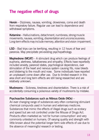### The negative effect of drugs The negative effect of drugs

Heroin – Dizziness, nausea, vomiting, drowsiness, coma and death from respiratory failure. Regular use can lead to dependence and from respiratory failure. Regular use can lead to dependence and withdrawal symptoms. withdrawal symptoms.

Ketamine – Hallucinations, detachment, numbness, strong muscle movements, nausea, vomiting, disorientation and unconsciousness. Long-term effects may include memory, attention and vision impairment.

LSD – Bad trips can be terrifying, resulting in 12 hours of fear and paranoia. May precipitate pre-existing psychopathology.

**Mephedrone (MCAT)** – A stimulant drug which can produce feelings of euphoria, alertness, talkativeness and empathy. Effects have reportedly included anxiety, paranoid states, psychological dependence, over stimulation of the heart and nervous system causing fits, nose bleeds and blistering to the mouth and nose. Some individuals have reported an unpleasant come down after use. Due to limited research in this area short and long term effects are still being researched and are relatively unknown.

Mushrooms - Sickness, tiredness and disorientation. There is a risk of accidentally consuming a poisonous variety of mushrooms by mistake. Mephedrone (MCAT) – A stimulant drug which can produce feelings of

### Psychoactive Substances such as Nitrous Oxide (NOx) −

included and the state and the state of the state of the state of the containing stimulation of the heart and nervous system causing fits, not the heart and nervous system containing surface and blistinical computions used in muman and veterinary medicine. and unplease that minimum the effects of meganitings such as ed. and speed but are not controlled under the Misuse of Drugs Act. Products often marketed as 'not for human consumption' and very little known about the potential longer term side effects of use due to the absence of meaning ful research or testing. An ever changing range of substances very often containing stimulant chemical compunds used in human and veterinary medicine. Substances that mimic the effects of illegal drugs such as ecstacy commonly untested on humans. Of varying quality and strength with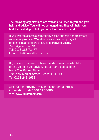The following organisations are available to listen to you and give The following organisations are available to listen to you and give help and advice. You will not be judged and they will help you help and advice. You will not be judged and they will help you find the next step to help you or a loved one or friend. find the next step to help you or a loved one or friend.

If you want to access a community based support and treatment If you want to access a community based support and treatment service for people in West/North West Leeds coping with service for people in West/North West Leeds coping with problems related to drug use, go to Forward Leeds. 74 Kirkgate, LS2 7DJ<br>— 103 (2000 — 2001 — 2001 — 2002 — 2003 — 2004 — 2005 — 2006 — 2007 — 2008 — 2008 — 2008 — 2008 — 2008 — 2008 Tel: 0113 388 72477 Email: info@forwardleeds.co.uk Manor House, 259 Upper Town Street, Bramley, wardieeds.co.uk

If you are a drug user, or have friends or relatives who take drugs, you can get advice, support and counselling from: The Market Place 18A New Market Street, Leeds, LS1 6DG Tel: 0113 246 1659  $S$  ase, or have ments or relatives who take get advice, support and counselling from: the from: the from: the from: the from: the from: the from: the from: the from: the from: the from: the from: the from: the from: the from: the from: the from: the from: the from: ter Mace<br>of Street, Leeds, LS1 GDC  $C<sub>L</sub>$   $C<sub>L</sub>$   $C<sub>L</sub>$   $C<sub>L</sub>$   $C<sub>L</sub>$   $C<sub>L</sub>$   $C<sub>L</sub>$   $C<sub>L</sub>$   $C<sub>L</sub>$   $C<sub>L</sub>$   $C<sub>L</sub>$   $C<sub>L</sub>$   $C<sub>L</sub>$   $C<sub>L</sub>$   $C<sub>L</sub>$   $C<sub>L</sub>$   $C<sub>L</sub>$   $C<sub>L</sub>$   $C<sub>L</sub>$   $C<sub>L</sub>$   $C<sub>L</sub>$   $C<sub>L</sub>$  Tel: 0113 246 1659

Also, talk to FRANK - free and confidential drugs information. In the set of the set of the set of the set of the set of the set of the set of the set of the set of the set of the set of the set of the set of the set of th information. Tel: 0300 1236600 Web: www.talktofrank.com Web: www.talktofrank.com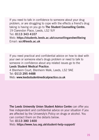If you need to talk in confidence to someone about your drug If you need to talk in confidence to someone about your drug problem, or are struggling to cope with the effects a friend's drug problem, or are struggling to cope with the effects a friend's drug taking is having on you go to The Student Counselling Centre. 19 Clarendon Place, Leeds, LS2 9JY 19 Clarendon Place, Leeds, LS2 9JY Tel: 0113 343 4107 Tel: 0113 343 4107 Web: https://students.leeds.ac.uk/counsellingandwellbeing Email: scc@leeds.ac.uk

If you need practical and confidential advice on how to deal with If you need practical and confidential advice on how to deal with your own or someone else's drugs problem or need to talk to your own or someone else's drugs problem or need to talk to someone in confidence about any related issues go to the Leeds Student Medical Practice. Leeds Student Medical Practice.

4 Blenheim Court, Blenheim Walk, Leeds, LS2 9AE 4 Blenheim Court, Blenheim Walk, Leeds, LS2 9AE Tel: 0113 295 4488 Web: www.leedsstudentmedicalpractice.co.uk Web: www.leedsstudentmedicalpractice.co.uk

The Leeds University Union Student Advice Centre can offer you free independent and confidential advice on your situation if you free independent and confidential advice on your situation if you are affected by the University's Policy on drugs or alcohol. You are affected by the University's Policy on drugs or alcohol. You can contact them on the details below. can contact them on the details below.

### Tel: 0113 380 1400 Web: https://www.luu.org.uk/student-help-support/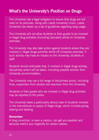### What's the University's Position on Drugs What's the University's Position on Drugs

The University has a legal obligation to ensure that drugs are not The University has a legal obligation to ensure thatdrugs are not used on its premises. Along with Leeds University Union, Leeds used on its premises. Along with Leeds University Union, Leeds University has drawn up a set of guidelines regarding drug usage: University has drawn up a set of guidelines regarding drug usage:

The University will not allow students or their guests to be involved The University will not allow students or their guests to be involved in illegal drug activities (including Cannabis) whilst on University in illegal drug activities (including Cannabis) whilst on University premises. premises.

The University may also take action against students where they are The University may also take action against students where they are involved in illegal drugs activities whilst off University premises, if involved in illegal drugs activities whilst off University premises, if such activity may have an impact on the University, students or such activity may have an impact on the University, students or staff.

Students should anticipate that, if involved in illegal drugs activity, Students should anticipate that, if involved in illegal drugs activity, disciplinary action will be taken, including possible eviction from disciplinary action will be taken, including possible eviction from University accommodation. University accommodation.

The University may use a full range of disciplinary action, including The University may use a full range of disciplinary action, including fines, suspension from studies and expulsion from the University. fines, suspension from studies and expulsion from the University.

Students or their guests who are involved in illegal drug activities Students or their guests who are involved in illegal drug activities may be reported to the police. may be reported to the police.

The University takes a particularly serious view of students involved The University takes a particularly serious view of students involved in the manufacture or supply of illegal drugs, which includes giving, sharing and stealing. sharing and stealing.

### Remember: Remember:

A drug conviction, or even a caution, can get you expelled and A drug conviction, or even a caution, can get you expelled and seriously restrict your eligibility for certain careers. seriously restrict your eligibility for certain careers.